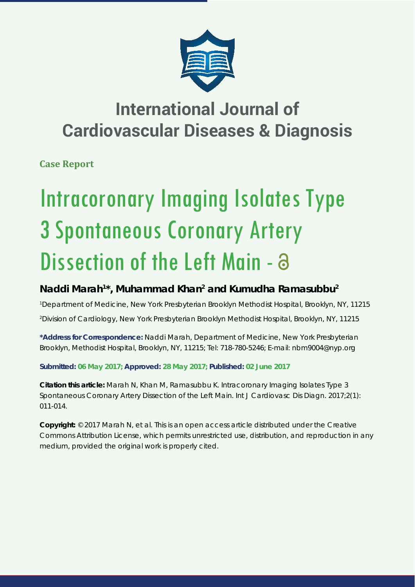

## **International Journal of Cardiovascular Diseases & Diagnosis**

**Case Report**

# Intracoronary Imaging Isolates Type 3 Spontaneous Coronary Artery Dissection of the Left Main - a

### Naddi Marah<sup>1\*</sup>, Muhammad Khan<sup>2</sup> and Kumudha Ramasubbu<sup>2</sup>

*1 Department of Medicine, New York Presbyterian Brooklyn Methodist Hospital, Brooklyn, NY, 11215 2 Division of Cardiology, New York Presbyterian Brooklyn Methodist Hospital, Brooklyn, NY, 11215*

**\*Address for Correspondence:** Naddi Marah, Department of Medicine, New York Presbyterian Brooklyn, Methodist Hospital, Brooklyn, NY, 11215; Tel: 718-780-5246; E-mail: nbm9004@nyp.org

**Submitted: 06 May 2017; Approved: 28 May 2017; Published: 02 June 2017**

**Citation this article:** Marah N, Khan M, Ramasubbu K. Intracoronary Imaging Isolates Type 3 Spontaneous Coronary Artery Dissection of the Left Main. Int J Cardiovasc Dis Diagn. 2017;2(1): 011-014.

**Copyright:** © 2017 Marah N, et al. This is an open access article distributed under the Creative Commons Attribution License, which permits unrestricted use, distribution, and reproduction in any medium, provided the original work is properly cited.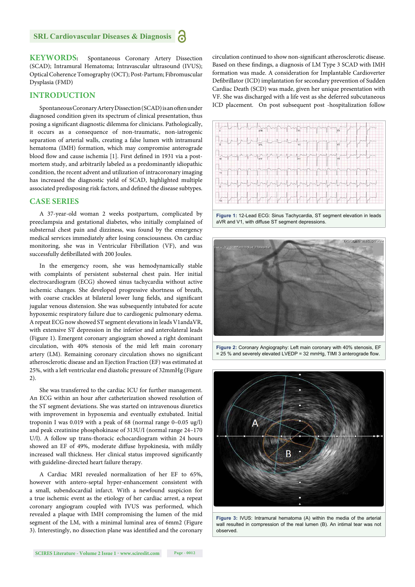**KEYWORDS:** Spontaneous Coronary Artery Dissection (SCAD); Intramural Hematoma; Intravascular ultrasound (IVUS); Optical Coherence Tomography (OCT); Post-Partum; Fibromuscular Dysplasia (FMD)

#### **INTRODUCTION**

Spontaneous Coronary Artery Dissection (SCAD) is an often under diagnosed condition given its spectrum of clinical presentation, thus posing a significant diagnostic dilemma for clinicians. Pathologically, it occurs as a consequence of non-traumatic, non-iatrogenic separation of arterial walls, creating a false lumen with intramural hematoma (IMH) formation, which may compromise anterograde blood flow and cause ischemia [1]. First defined in 1931 via a postmortem study, and arbitrarily labeled as a predominantly idiopathic condition, the recent advent and utilization of intracoronary imaging has increased the diagnostic yield of SCAD, highlighted multiple associated predisposing risk factors, and defined the disease subtypes.

#### **CASE SERIES**

A 37-year-old woman 2 weeks postpartum, complicated by preeclampsia and gestational diabetes, who initially complained of substernal chest pain and dizziness, was found by the emergency medical services immediately after losing consciousness. On cardiac monitoring, she was in Ventricular Fibrillation (VF), and was successfully defibrillated with 200 Joules.

In the emergency room, she was hemodynamically stable with complaints of persistent substernal chest pain. Her initial electrocardiogram (ECG) showed sinus tachycardia without active ischemic changes. She developed progressive shortness of breath, with coarse crackles at bilateral lower lung fields, and significant jugular venous distension. She was subsequently intubated for acute hypoxemic respiratory failure due to cardiogenic pulmonary edema. A repeat ECG now showed ST segment elevations in leads V1andaVR, with extensive ST depression in the inferior and anterolateral leads (Figure 1). Emergent coronary angiogram showed a right dominant circulation, with 40% stenosis of the mid left main coronary artery (LM). Remaining coronary circulation shows no significant atherosclerotic disease and an Ejection Fraction (EF) was estimated at 25%, with a left ventricular end diastolic pressure of 32mmHg (Figure 2).

She was transferred to the cardiac ICU for further management. An ECG within an hour after catheterization showed resolution of the ST segment deviations. She was started on intravenous diuretics with improvement in hypoxemia and eventually extubated. Initial troponin I was 0.019 with a peak of 68 (normal range 0–0.05 ug/l) and peak creatinine phosphokinase of 313U/I (normal range 24–170 U/l). A follow up trans-thoracic echocardiogram within 24 hours showed an EF of 49%, moderate diffuse hypokinesia, with mildly increased wall thickness. Her clinical status improved significantly with guideline-directed heart failure therapy.

A Cardiac MRI revealed normalization of her EF to 65%, however with antero-septal hyper-enhancement consistent with a small, subendocardial infarct. With a newfound suspicion for a true ischemic event as the etiology of her cardiac arrest, a repeat coronary angiogram coupled with IVUS was performed, which revealed a plaque with IMH compromising the lumen of the mid segment of the LM, with a minimal luminal area of 6mm2 (Figure 3). Interestingly, no dissection plane was identified and the coronary

circulation continued to show non-significant atherosclerotic disease. Based on these findings, a diagnosis of LM Type 3 SCAD with IMH formation was made. A consideration for Implantable Cardioverter Defibrillator (ICD) implantation for secondary prevention of Sudden Cardiac Death (SCD) was made, given her unique presentation with VF. She was discharged with a life vest as she deferred subcutaneous ICD placement. On post subsequent post -hospitalization follow



**Figure 1:** 12-Lead ECG: Sinus Tachycardia, ST segment elevation in leads aVR and V1, with diffuse ST segment depressions.



**Figure 2:** Coronary Angiography: Left main coronary with 40% stenosis, EF  $= 25$  % and severely elevated LVEDP = 32 mmHg, TIMI 3 anterograde flow.



**Figure 3:** IVUS: Intramural hematoma (A) within the media of the arterial wall resulted in compression of the real lumen (B). An intimal tear was not observed.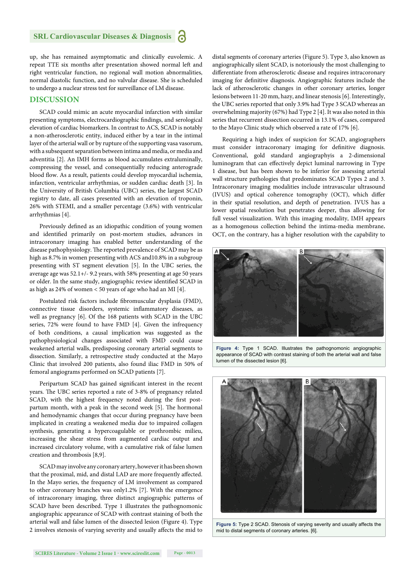up, she has remained asymptomatic and clinically euvolemic. A repeat TTE six months after presentation showed normal left and right ventricular function, no regional wall motion abnormalities, normal diastolic function, and no valvular disease. She is scheduled to undergo a nuclear stress test for surveillance of LM disease.

#### **DISCUSSION**

SCAD could mimic an acute myocardial infarction with similar presenting symptoms, electrocardiographic findings, and serological elevation of cardiac biomarkers. In contrast to ACS, SCAD is notably a non-atherosclerotic entity, induced either by a tear in the intimal layer of the arterial wall or by rupture of the supporting vasa vasorum, with a subsequent separation between intima and media, or media and adventitia [2]. An IMH forms as blood accumulates extraluminally, compressing the vessel, and consequentially reducing anterograde blood flow. As a result, patients could develop myocardial ischemia, infarction, ventricular arrhythmias, or sudden cardiac death [3]. In the University of British Columbia (UBC) series, the largest SCAD registry to date, all cases presented with an elevation of troponin, 26% with STEMI, and a smaller percentage (3.6%) with ventricular arrhythmias [4].

Previously defined as an idiopathic condition of young women and identified primarily on post-mortem studies, advances in intracoronary imaging has enabled better understanding of the disease pathophysiology. The reported prevalence of SCAD may be as high as 8.7% in women presenting with ACS and10.8% in a subgroup presenting with ST segment elevation [5]. In the UBC series, the average age was 52.1+/- 9.2 years, with 58% presenting at age 50 years or older. In the same study, angiographic review identified SCAD in as high as 24% of women < 50 years of age who had an MI [4].

Postulated risk factors include fibromuscular dysplasia (FMD), connective tissue disorders, systemic inflammatory diseases, as well as pregnancy [6]. Of the 168 patients with SCAD in the UBC series, 72% were found to have FMD [4]. Given the infrequency of both conditions, a causal implication was suggested as the pathophysiological changes associated with FMD could cause weakened arterial walls, predisposing coronary arterial segments to dissection. Similarly, a retrospective study conducted at the Mayo Clinic that involved 200 patients, also found iliac FMD in 50% of femoral angiograms performed on SCAD patients [7].

Peripartum SCAD has gained significant interest in the recent years. The UBC series reported a rate of 3-8% of pregnancy related SCAD, with the highest frequency noted during the first postpartum month, with a peak in the second week [5]. The hormonal and hemodynamic changes that occur during pregnancy have been implicated in creating a weakened media due to impaired collagen synthesis, generating a hypercoagulable or prothrombic milieu, increasing the shear stress from augmented cardiac output and increased circulatory volume, with a cumulative risk of false lumen creation and thrombosis [8,9].

SCAD may involve any coronary artery, however it has been shown that the proximal, mid, and distal LAD are more frequently affected. In the Mayo series, the frequency of LM involvement as compared to other coronary branches was only1.2% [7]. With the emergence of intracoronary imaging, three distinct angiographic patterns of SCAD have been described. Type 1 illustrates the pathognomonic angiographic appearance of SCAD with contrast staining of both the arterial wall and false lumen of the dissected lesion (Figure 4). Type 2 involves stenosis of varying severity and usually affects the mid to

distal segments of coronary arteries (Figure 5). Type 3, also known as angiographically silent SCAD, is notoriously the most challenging to differentiate from atherosclerotic disease and requires intracoronary imaging for definitive diagnosis. Angiographic features include the lack of atherosclerotic changes in other coronary arteries, longer lesions between 11-20 mm, hazy, and linear stenosis [6]. Interestingly, the UBC series reported that only 3.9% had Type 3 SCAD whereas an overwhelming majority (67%) had Type 2 [4]. It was also noted in this series that recurrent dissection occurred in 13.1% of cases, compared to the Mayo Clinic study which observed a rate of 17% [6].

Requiring a high index of suspicion for SCAD, angiographers must consider intracoronary imaging for definitive diagnosis. Conventional, gold standard angiographyis a 2-dimensional luminogram that can effectively depict luminal narrowing in Type 1 disease, but has been shown to be inferior for assessing arterial wall structure pathologies that predominates SCAD Types 2 and 3. Intracoronary imaging modalities include intravascular ultrasound (IVUS) and optical coherence tomography (OCT), which differ in their spatial resolution, and depth of penetration. IVUS has a lower spatial resolution but penetrates deeper, thus allowing for full vessel visualization. With this imaging modality, IMH appears as a homogenous collection behind the intima-media membrane**.** OCT, on the contrary, has a higher resolution with the capability to



**Figure 4:** Type 1 SCAD. Illustrates the pathognomonic angiographic appearance of SCAD with contrast staining of both the arterial wall and false lumen of the dissected lesion [6].



**Figure 5:** Type 2 SCAD. Stenosis of varying severity and usually affects the mid to distal segments of coronary arteries. [6].